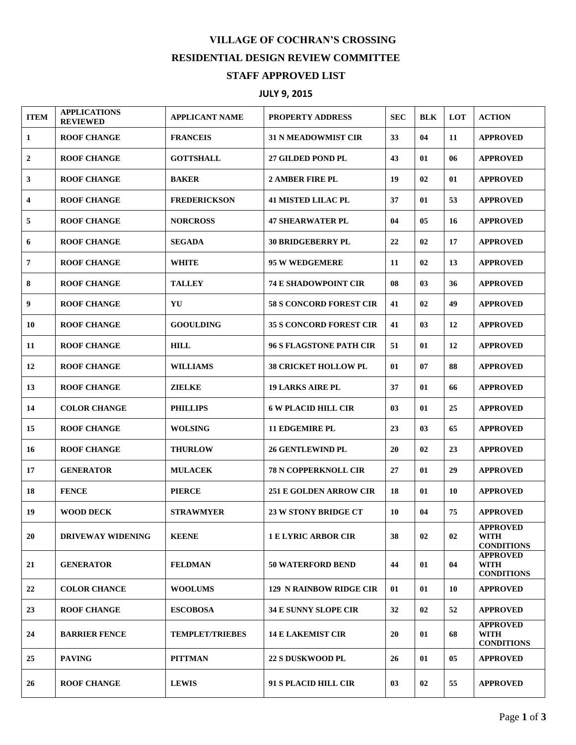## **VILLAGE OF COCHRAN'S CROSSING RESIDENTIAL DESIGN REVIEW COMMITTEE STAFF APPROVED LIST**

## **JULY 9, 2015**

| <b>ITEM</b>             | <b>APPLICATIONS</b><br><b>REVIEWED</b> | <b>APPLICANT NAME</b>  | <b>PROPERTY ADDRESS</b>        | <b>SEC</b>     | <b>BLK</b> | LOT | <b>ACTION</b>                                       |
|-------------------------|----------------------------------------|------------------------|--------------------------------|----------------|------------|-----|-----------------------------------------------------|
| 1                       | <b>ROOF CHANGE</b>                     | <b>FRANCEIS</b>        | <b>31 N MEADOWMIST CIR</b>     | 33             | 04         | 11  | <b>APPROVED</b>                                     |
| 2                       | <b>ROOF CHANGE</b>                     | <b>GOTTSHALL</b>       | <b>27 GILDED POND PL</b>       | 43             | 01         | 06  | <b>APPROVED</b>                                     |
| 3                       | <b>ROOF CHANGE</b>                     | <b>BAKER</b>           | <b>2 AMBER FIRE PL</b>         | 19             | 02         | 01  | <b>APPROVED</b>                                     |
| $\overline{\mathbf{4}}$ | <b>ROOF CHANGE</b>                     | <b>FREDERICKSON</b>    | <b>41 MISTED LILAC PL</b>      | 37             | 01         | 53  | <b>APPROVED</b>                                     |
| 5                       | <b>ROOF CHANGE</b>                     | <b>NORCROSS</b>        | <b>47 SHEARWATER PL</b>        | 04             | 05         | 16  | <b>APPROVED</b>                                     |
| 6                       | <b>ROOF CHANGE</b>                     | <b>SEGADA</b>          | <b>30 BRIDGEBERRY PL</b>       | 22             | 02         | 17  | <b>APPROVED</b>                                     |
| 7                       | <b>ROOF CHANGE</b>                     | <b>WHITE</b>           | 95 W WEDGEMERE                 | 11             | 02         | 13  | <b>APPROVED</b>                                     |
| 8                       | <b>ROOF CHANGE</b>                     | <b>TALLEY</b>          | <b>74 E SHADOWPOINT CIR</b>    | 08             | 03         | 36  | <b>APPROVED</b>                                     |
| 9                       | <b>ROOF CHANGE</b>                     | YU                     | <b>58 S CONCORD FOREST CIR</b> | 41             | 02         | 49  | <b>APPROVED</b>                                     |
| 10                      | <b>ROOF CHANGE</b>                     | <b>GOOULDING</b>       | <b>35 S CONCORD FOREST CIR</b> | 41             | 03         | 12  | <b>APPROVED</b>                                     |
| 11                      | <b>ROOF CHANGE</b>                     | <b>HILL</b>            | <b>96 S FLAGSTONE PATH CIR</b> | 51             | 01         | 12  | <b>APPROVED</b>                                     |
| 12                      | <b>ROOF CHANGE</b>                     | <b>WILLIAMS</b>        | <b>38 CRICKET HOLLOW PL</b>    | 01             | 07         | 88  | <b>APPROVED</b>                                     |
| 13                      | <b>ROOF CHANGE</b>                     | <b>ZIELKE</b>          | <b>19 LARKS AIRE PL</b>        | 37             | 01         | 66  | <b>APPROVED</b>                                     |
| 14                      | <b>COLOR CHANGE</b>                    | <b>PHILLIPS</b>        | <b>6 W PLACID HILL CIR</b>     | 0 <sub>3</sub> | 01         | 25  | <b>APPROVED</b>                                     |
| 15                      | <b>ROOF CHANGE</b>                     | <b>WOLSING</b>         | <b>11 EDGEMIRE PL</b>          | 23             | 03         | 65  | <b>APPROVED</b>                                     |
| 16                      | <b>ROOF CHANGE</b>                     | <b>THURLOW</b>         | <b>26 GENTLEWIND PL</b>        | 20             | 02         | 23  | <b>APPROVED</b>                                     |
| 17                      | <b>GENERATOR</b>                       | <b>MULACEK</b>         | <b>78 N COPPERKNOLL CIR</b>    | 27             | 01         | 29  | <b>APPROVED</b>                                     |
| 18                      | <b>FENCE</b>                           | <b>PIERCE</b>          | <b>251 E GOLDEN ARROW CIR</b>  | 18             | 01         | 10  | <b>APPROVED</b>                                     |
| 19                      | <b>WOOD DECK</b>                       | <b>STRAWMYER</b>       | <b>23 W STONY BRIDGE CT</b>    | 10             | 04         | 75  | <b>APPROVED</b>                                     |
| 20                      | <b>DRIVEWAY WIDENING</b>               | <b>KEENE</b>           | <b>1 E LYRIC ARBOR CIR</b>     | 38             | 02         | 02  | <b>APPROVED</b><br><b>WITH</b><br><b>CONDITIONS</b> |
| 21                      | <b>GENERATOR</b>                       | <b>FELDMAN</b>         | <b>50 WATERFORD BEND</b>       | 44             | 01         | 04  | <b>APPROVED</b><br><b>WITH</b><br><b>CONDITIONS</b> |
| 22                      | <b>COLOR CHANCE</b>                    | <b>WOOLUMS</b>         | <b>129 N RAINBOW RIDGE CIR</b> | 01             | 01         | 10  | <b>APPROVED</b>                                     |
| 23                      | <b>ROOF CHANGE</b>                     | <b>ESCOBOSA</b>        | <b>34 E SUNNY SLOPE CIR</b>    | 32             | 02         | 52  | <b>APPROVED</b>                                     |
| 24                      | <b>BARRIER FENCE</b>                   | <b>TEMPLET/TRIEBES</b> | <b>14 E LAKEMIST CIR</b>       | 20             | 01         | 68  | <b>APPROVED</b><br><b>WITH</b><br><b>CONDITIONS</b> |
| 25                      | <b>PAVING</b>                          | <b>PITTMAN</b>         | <b>22 S DUSKWOOD PL</b>        | 26             | 01         | 05  | <b>APPROVED</b>                                     |
| 26                      | <b>ROOF CHANGE</b>                     | <b>LEWIS</b>           | 91 S PLACID HILL CIR           | 03             | 02         | 55  | <b>APPROVED</b>                                     |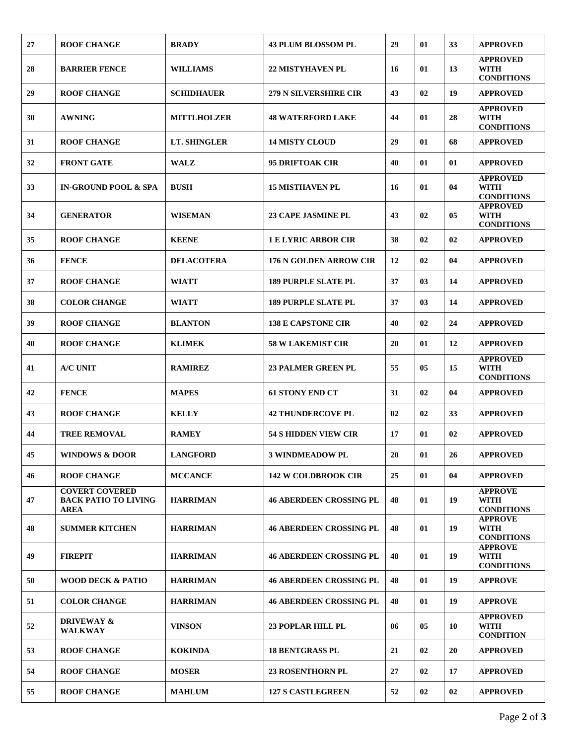| 27 | <b>ROOF CHANGE</b>                                           | <b>BRADY</b>       | <b>43 PLUM BLOSSOM PL</b>      | 29 | 01             | 33 | <b>APPROVED</b>                                     |
|----|--------------------------------------------------------------|--------------------|--------------------------------|----|----------------|----|-----------------------------------------------------|
| 28 | <b>BARRIER FENCE</b>                                         | <b>WILLIAMS</b>    | <b>22 MISTYHAVEN PL</b>        | 16 | 01             | 13 | <b>APPROVED</b><br><b>WITH</b><br><b>CONDITIONS</b> |
| 29 | <b>ROOF CHANGE</b>                                           | <b>SCHIDHAUER</b>  | <b>279 N SILVERSHIRE CIR</b>   | 43 | 02             | 19 | <b>APPROVED</b>                                     |
| 30 | <b>AWNING</b>                                                | <b>MITTLHOLZER</b> | <b>48 WATERFORD LAKE</b>       | 44 | 01             | 28 | <b>APPROVED</b><br><b>WITH</b><br><b>CONDITIONS</b> |
| 31 | <b>ROOF CHANGE</b>                                           | LT. SHINGLER       | <b>14 MISTY CLOUD</b>          | 29 | 01             | 68 | <b>APPROVED</b>                                     |
| 32 | <b>FRONT GATE</b>                                            | <b>WALZ</b>        | <b>95 DRIFTOAK CIR</b>         | 40 | 01             | 01 | <b>APPROVED</b>                                     |
| 33 | <b>IN-GROUND POOL &amp; SPA</b>                              | <b>BUSH</b>        | <b>15 MISTHAVEN PL</b>         | 16 | 01             | 04 | <b>APPROVED</b><br><b>WITH</b><br><b>CONDITIONS</b> |
| 34 | <b>GENERATOR</b>                                             | <b>WISEMAN</b>     | <b>23 CAPE JASMINE PL</b>      | 43 | 02             | 05 | <b>APPROVED</b><br><b>WITH</b><br><b>CONDITIONS</b> |
| 35 | <b>ROOF CHANGE</b>                                           | <b>KEENE</b>       | <b>1 E LYRIC ARBOR CIR</b>     | 38 | 02             | 02 | <b>APPROVED</b>                                     |
| 36 | <b>FENCE</b>                                                 | <b>DELACOTERA</b>  | <b>176 N GOLDEN ARROW CIR</b>  | 12 | 02             | 04 | <b>APPROVED</b>                                     |
| 37 | <b>ROOF CHANGE</b>                                           | WIATT              | <b>189 PURPLE SLATE PL</b>     | 37 | 0 <sub>3</sub> | 14 | <b>APPROVED</b>                                     |
| 38 | <b>COLOR CHANGE</b>                                          | <b>WIATT</b>       | <b>189 PURPLE SLATE PL</b>     | 37 | 03             | 14 | <b>APPROVED</b>                                     |
| 39 | <b>ROOF CHANGE</b>                                           | <b>BLANTON</b>     | <b>138 E CAPSTONE CIR</b>      | 40 | 02             | 24 | <b>APPROVED</b>                                     |
| 40 | <b>ROOF CHANGE</b>                                           | <b>KLIMEK</b>      | <b>58 W LAKEMIST CIR</b>       | 20 | 01             | 12 | <b>APPROVED</b>                                     |
| 41 | A/C UNIT                                                     | <b>RAMIREZ</b>     | <b>23 PALMER GREEN PL</b>      | 55 | 05             | 15 | <b>APPROVED</b><br><b>WITH</b><br><b>CONDITIONS</b> |
| 42 | <b>FENCE</b>                                                 | <b>MAPES</b>       | <b>61 STONY END CT</b>         | 31 | 02             | 04 | <b>APPROVED</b>                                     |
| 43 | <b>ROOF CHANGE</b>                                           | <b>KELLY</b>       | <b>42 THUNDERCOVE PL</b>       | 02 | 02             | 33 | <b>APPROVED</b>                                     |
| 44 | <b>TREE REMOVAL</b>                                          | <b>RAMEY</b>       | <b>54 S HIDDEN VIEW CIR</b>    | 17 | 01             | 02 | <b>APPROVED</b>                                     |
| 45 | <b>WINDOWS &amp; DOOR</b>                                    | <b>LANGFORD</b>    | <b>3 WINDMEADOW PL</b>         | 20 | 01             | 26 | <b>APPROVED</b>                                     |
| 46 | <b>ROOF CHANGE</b>                                           | <b>MCCANCE</b>     | <b>142 W COLDBROOK CIR</b>     | 25 | 01             | 04 | <b>APPROVED</b>                                     |
| 47 | <b>COVERT COVERED</b><br><b>BACK PATIO TO LIVING</b><br>AREA | <b>HARRIMAN</b>    | <b>46 ABERDEEN CROSSING PL</b> | 48 | 01             | 19 | <b>APPROVE</b><br><b>WITH</b><br><b>CONDITIONS</b>  |
| 48 | <b>SUMMER KITCHEN</b>                                        | <b>HARRIMAN</b>    | <b>46 ABERDEEN CROSSING PL</b> | 48 | 01             | 19 | <b>APPROVE</b><br><b>WITH</b><br><b>CONDITIONS</b>  |
| 49 | <b>FIREPIT</b>                                               | <b>HARRIMAN</b>    | <b>46 ABERDEEN CROSSING PL</b> | 48 | 01             | 19 | <b>APPROVE</b><br><b>WITH</b><br><b>CONDITIONS</b>  |
| 50 | <b>WOOD DECK &amp; PATIO</b>                                 | <b>HARRIMAN</b>    | <b>46 ABERDEEN CROSSING PL</b> | 48 | 01             | 19 | <b>APPROVE</b>                                      |
| 51 | <b>COLOR CHANGE</b>                                          | <b>HARRIMAN</b>    | <b>46 ABERDEEN CROSSING PL</b> | 48 | 01             | 19 | <b>APPROVE</b>                                      |
| 52 | <b>DRIVEWAY &amp;</b><br><b>WALKWAY</b>                      | VINSON             | 23 POPLAR HILL PL              | 06 | 05             | 10 | <b>APPROVED</b><br><b>WITH</b><br><b>CONDITION</b>  |
| 53 | <b>ROOF CHANGE</b>                                           | <b>KOKINDA</b>     | <b>18 BENTGRASS PL</b>         | 21 | 02             | 20 | <b>APPROVED</b>                                     |
| 54 | <b>ROOF CHANGE</b>                                           | <b>MOSER</b>       | <b>23 ROSENTHORN PL</b>        | 27 | 02             | 17 | <b>APPROVED</b>                                     |
| 55 | <b>ROOF CHANGE</b>                                           | <b>MAHLUM</b>      | <b>127 S CASTLEGREEN</b>       | 52 | 02             | 02 | <b>APPROVED</b>                                     |